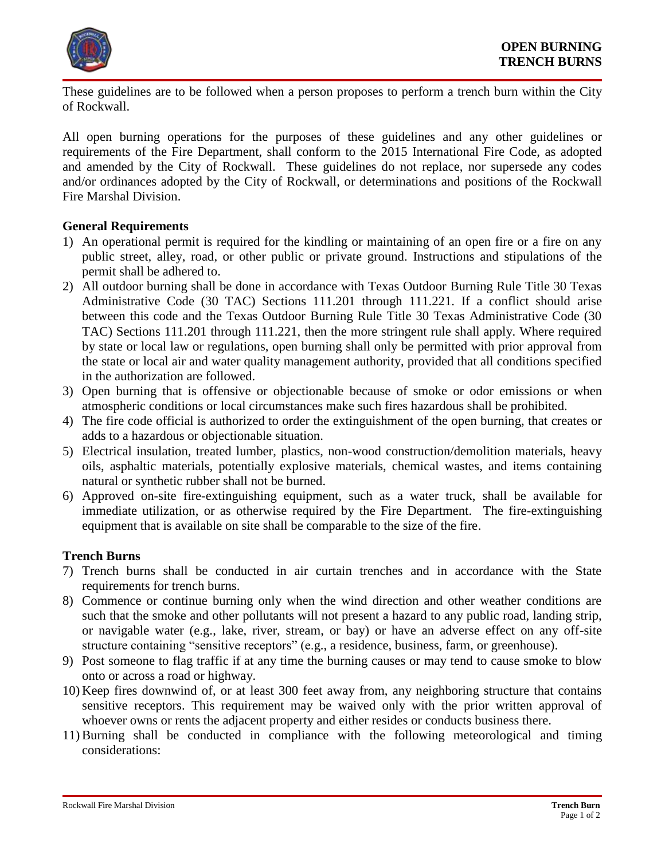

These guidelines are to be followed when a person proposes to perform a trench burn within the City of Rockwall.

All open burning operations for the purposes of these guidelines and any other guidelines or requirements of the Fire Department, shall conform to the 2015 International Fire Code, as adopted and amended by the City of Rockwall. These guidelines do not replace, nor supersede any codes and/or ordinances adopted by the City of Rockwall, or determinations and positions of the Rockwall Fire Marshal Division.

# **General Requirements**

- 1) An operational permit is required for the kindling or maintaining of an open fire or a fire on any public street, alley, road, or other public or private ground. Instructions and stipulations of the permit shall be adhered to.
- 2) All outdoor burning shall be done in accordance with Texas Outdoor Burning Rule Title 30 Texas Administrative Code (30 TAC) Sections 111.201 through 111.221. If a conflict should arise between this code and the Texas Outdoor Burning Rule Title 30 Texas Administrative Code (30 TAC) Sections 111.201 through 111.221, then the more stringent rule shall apply. Where required by state or local law or regulations, open burning shall only be permitted with prior approval from the state or local air and water quality management authority, provided that all conditions specified in the authorization are followed.
- 3) Open burning that is offensive or objectionable because of smoke or odor emissions or when atmospheric conditions or local circumstances make such fires hazardous shall be prohibited.
- 4) The fire code official is authorized to order the extinguishment of the open burning, that creates or adds to a hazardous or objectionable situation.
- 5) Electrical insulation, treated lumber, plastics, non-wood construction/demolition materials, heavy oils, asphaltic materials, potentially explosive materials, chemical wastes, and items containing natural or synthetic rubber shall not be burned.
- 6) Approved on-site fire-extinguishing equipment, such as a water truck, shall be available for immediate utilization, or as otherwise required by the Fire Department. The fire-extinguishing equipment that is available on site shall be comparable to the size of the fire.

## **Trench Burns**

- 7) Trench burns shall be conducted in air curtain trenches and in accordance with the State requirements for trench burns.
- 8) Commence or continue burning only when the wind direction and other weather conditions are such that the smoke and other pollutants will not present a hazard to any public road, landing strip, or navigable water (e.g., lake, river, stream, or bay) or have an adverse effect on any off-site structure containing "sensitive receptors" (e.g., a residence, business, farm, or greenhouse).
- 9) Post someone to flag traffic if at any time the burning causes or may tend to cause smoke to blow onto or across a road or highway.
- 10) Keep fires downwind of, or at least 300 feet away from, any neighboring structure that contains sensitive receptors. This requirement may be waived only with the prior written approval of whoever owns or rents the adjacent property and either resides or conducts business there.
- 11) Burning shall be conducted in compliance with the following meteorological and timing considerations: